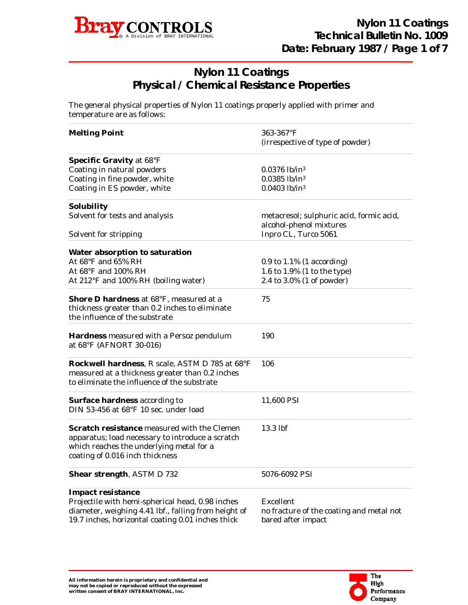

## **Nylon 11 Coatings Physical / Chemical Resistance Properties**

The general physical properties of Nylon 11 coatings properly applied with primer and temperature are as follows:

| <b>Melting Point</b>                                                                                                                                                           | 363-367°F                                                           |  |  |  |  |
|--------------------------------------------------------------------------------------------------------------------------------------------------------------------------------|---------------------------------------------------------------------|--|--|--|--|
|                                                                                                                                                                                | (irrespective of type of powder)                                    |  |  |  |  |
| <b>Specific Gravity at 68°F</b>                                                                                                                                                |                                                                     |  |  |  |  |
| Coating in natural powders                                                                                                                                                     | $0.0376$ lb/in <sup>3</sup>                                         |  |  |  |  |
| Coating in fine powder, white                                                                                                                                                  | 0.0385 lb/in <sup>3</sup>                                           |  |  |  |  |
| Coating in ES powder, white                                                                                                                                                    | 0.0403 lb/in <sup>3</sup>                                           |  |  |  |  |
| Solubility                                                                                                                                                                     |                                                                     |  |  |  |  |
| Solvent for tests and analysis                                                                                                                                                 | metacresol; sulphuric acid, formic acid,<br>alcohol-phenol mixtures |  |  |  |  |
| Solvent for stripping                                                                                                                                                          | Inpro CL, Turco 5061                                                |  |  |  |  |
| Water absorption to saturation                                                                                                                                                 |                                                                     |  |  |  |  |
| At 68°F and 65% RH                                                                                                                                                             | $0.9$ to $1.1\%$ (1 according)                                      |  |  |  |  |
| At 68°F and 100% RH                                                                                                                                                            | 1.6 to 1.9% (1 to the type)                                         |  |  |  |  |
| At 212°F and 100% RH (boiling water)                                                                                                                                           | 2.4 to 3.0% (1 of powder)                                           |  |  |  |  |
| Shore D hardness at 68°F, measured at a<br>thickness greater than 0.2 inches to eliminate<br>the influence of the substrate                                                    | 75                                                                  |  |  |  |  |
| <b>Hardness</b> measured with a Persoz pendulum<br>at 68°F (AFNORT 30-016)                                                                                                     | 190                                                                 |  |  |  |  |
| Rockwell hardness, R scale, ASTM D 785 at 68°F<br>measured at a thickness greater than 0.2 inches<br>to eliminate the influence of the substrate                               | 106                                                                 |  |  |  |  |
| <b>Surface hardness according to</b><br>DIN 53-456 at 68°F 10 sec. under load                                                                                                  | 11,600 PSI                                                          |  |  |  |  |
| Scratch resistance measured with the Clemen<br>apparatus; load necessary to introduce a scratch<br>which reaches the underlying metal for a<br>coating of 0.016 inch thickness | 13.3 lbf                                                            |  |  |  |  |
| <b>Shear strength, ASTM D 732</b>                                                                                                                                              | 5076-6092 PSI                                                       |  |  |  |  |
| <b>Impact resistance</b>                                                                                                                                                       |                                                                     |  |  |  |  |
| Projectile with hemi-spherical head, 0.98 inches                                                                                                                               | Excellent                                                           |  |  |  |  |
| diameter, weighing 4.41 lbf., falling from height of<br>19.7 inches, horizontal coating 0.01 inches thick                                                                      | no fracture of the coating and metal not<br>bared after impact      |  |  |  |  |

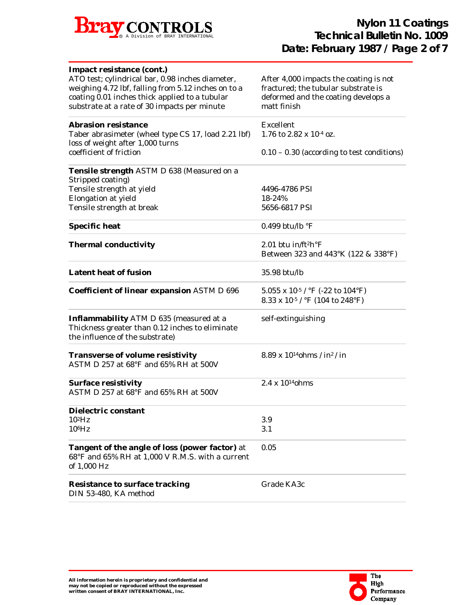

| Impact resistance (cont.)<br>ATO test; cylindrical bar, 0.98 inches diameter,<br>weighing 4.72 lbf, falling from 5.12 inches on to a<br>coating 0.01 inches thick applied to a tubular<br>substrate at a rate of 30 impacts per minute | After 4,000 impacts the coating is not<br>fractured; the tubular substrate is<br>deformed and the coating develops a<br>matt finish                     |
|----------------------------------------------------------------------------------------------------------------------------------------------------------------------------------------------------------------------------------------|---------------------------------------------------------------------------------------------------------------------------------------------------------|
| <b>Abrasion resistance</b><br>Taber abrasimeter (wheel type CS 17, load 2.21 lbf)<br>loss of weight after 1,000 turns                                                                                                                  | Excellent<br>1.76 to 2.82 x 10-4 oz.                                                                                                                    |
| coefficient of friction                                                                                                                                                                                                                | $0.10 - 0.30$ (according to test conditions)                                                                                                            |
| Tensile strength ASTM D 638 (Measured on a<br>Stripped coating)                                                                                                                                                                        |                                                                                                                                                         |
| Tensile strength at yield                                                                                                                                                                                                              | 4496-4786 PSI                                                                                                                                           |
| Elongation at yield                                                                                                                                                                                                                    | 18-24%                                                                                                                                                  |
| Tensile strength at break                                                                                                                                                                                                              | 5656-6817 PSI                                                                                                                                           |
| <b>Specific heat</b>                                                                                                                                                                                                                   | 0.499 btu/lb $\mathrm{P}F$                                                                                                                              |
| <b>Thermal conductivity</b>                                                                                                                                                                                                            | 2.01 btu in/ft <sup>2</sup> h $\rm{^{\circ}F}$<br>Between 323 and 443°K (122 & 338°F)                                                                   |
| <b>Latent heat of fusion</b>                                                                                                                                                                                                           | 35.98 btu/lb                                                                                                                                            |
| <b>Coefficient of linear expansion ASTM D 696</b>                                                                                                                                                                                      | 5.055 x 10 <sup>-5</sup> / $\rm{^{\circ}F}$ (-22 to 104 $\rm{^{\circ}F}$ )<br>8.33 x 10 <sup>-5</sup> / $\rm{^{\circ}F}$ (104 to 248 $\rm{^{\circ}F}$ ) |
| Inflammability ATM D 635 (measured at a<br>Thickness greater than 0.12 inches to eliminate<br>the influence of the substrate)                                                                                                          | self-extinguishing                                                                                                                                      |
| <b>Transverse of volume resistivity</b><br>ASTM D 257 at $68^{\circ}$ F and $65\%$ RH at $500$ V                                                                                                                                       | 8.89 x $10^{14}$ ohms / in <sup>2</sup> / in                                                                                                            |
| <b>Surface resistivity</b><br>ASTM D 257 at $68^{\circ}$ F and $65\%$ RH at $500$ V                                                                                                                                                    | 2.4 x 10 <sup>14</sup> ohms                                                                                                                             |
| Dielectric constant                                                                                                                                                                                                                    |                                                                                                                                                         |
| $10^2$ Hz                                                                                                                                                                                                                              | 3.9                                                                                                                                                     |
| $10^6$ Hz                                                                                                                                                                                                                              | 3.1                                                                                                                                                     |
| <b>Tangent of the angle of loss (power factor) at</b><br>68°F and 65% RH at 1,000 V R.M.S. with a current<br>of 1,000 Hz                                                                                                               | 0.05                                                                                                                                                    |
| <b>Resistance to surface tracking</b><br>DIN 53-480, KA method                                                                                                                                                                         | Grade KA3c                                                                                                                                              |

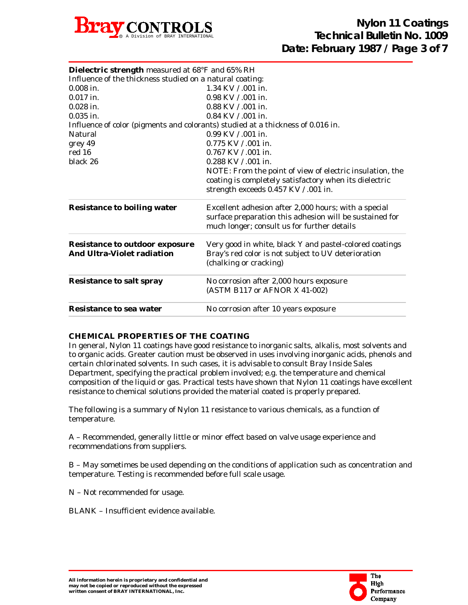

| Dielectric strength measured at 68°F and 65% RH<br>Influence of the thickness studied on a natural coating: |                                                                                                                                                                |  |  |  |  |
|-------------------------------------------------------------------------------------------------------------|----------------------------------------------------------------------------------------------------------------------------------------------------------------|--|--|--|--|
| $0.008$ in.                                                                                                 | 1.34 KV / .001 in.                                                                                                                                             |  |  |  |  |
|                                                                                                             |                                                                                                                                                                |  |  |  |  |
| $0.017$ in.                                                                                                 | 0.98 KV / .001 in.                                                                                                                                             |  |  |  |  |
| $0.028$ in.                                                                                                 | $0.88$ KV $/$ 0.01 in.                                                                                                                                         |  |  |  |  |
| $0.035$ in.                                                                                                 | $0.84$ KV $/$ 0.01 in.                                                                                                                                         |  |  |  |  |
| Influence of color (pigments and colorants) studied at a thickness of 0.016 in.                             |                                                                                                                                                                |  |  |  |  |
| Natural                                                                                                     | 0.99 KV / .001 in.                                                                                                                                             |  |  |  |  |
| grey 49                                                                                                     | 0.775 KV / .001 in.                                                                                                                                            |  |  |  |  |
| red 16                                                                                                      | 0.767 KV / .001 in.                                                                                                                                            |  |  |  |  |
| black 26                                                                                                    | $0.288$ KV $/$ 0.01 in.                                                                                                                                        |  |  |  |  |
|                                                                                                             | NOTE: From the point of view of electric insulation, the                                                                                                       |  |  |  |  |
|                                                                                                             | coating is completely satisfactory when its dielectric                                                                                                         |  |  |  |  |
|                                                                                                             | strength exceeds 0.457 KV / .001 in.                                                                                                                           |  |  |  |  |
| <b>Resistance to boiling water</b>                                                                          | Excellent adhesion after 2,000 hours; with a special<br>surface preparation this adhesion will be sustained for<br>much longer; consult us for further details |  |  |  |  |
| <b>Resistance to outdoor exposure</b><br><b>And Ultra-Violet radiation</b>                                  | Very good in white, black Y and pastel-colored coatings<br>Bray's red color is not subject to UV deterioration<br>(chalking or cracking)                       |  |  |  |  |
| <b>Resistance to salt spray</b>                                                                             | No corrosion after 2,000 hours exposure<br>(ASTM B117 or AFNOR X 41-002)                                                                                       |  |  |  |  |
| <b>Resistance to sea water</b>                                                                              | No corrosion after 10 years exposure                                                                                                                           |  |  |  |  |

## **CHEMICAL PROPERTIES OF THE COATING**

In general, Nylon 11 coatings have good resistance to inorganic salts, alkalis, most solvents and to organic acids. Greater caution must be observed in uses involving inorganic acids, phenols and certain chlorinated solvents. In such cases, it is advisable to consult Bray Inside Sales Department, specifying the practical problem involved; e.g. the temperature and chemical composition of the liquid or gas. Practical tests have shown that Nylon 11 coatings have excellent resistance to chemical solutions provided the material coated is properly prepared.

The following is a summary of Nylon 11 resistance to various chemicals, as a function of temperature.

A – Recommended, generally little or minor effect based on valve usage experience and recommendations from suppliers.

B – May sometimes be used depending on the conditions of application such as concentration and temperature. Testing is recommended before full scale usage.

N – Not recommended for usage.

BLANK – Insufficient evidence available.

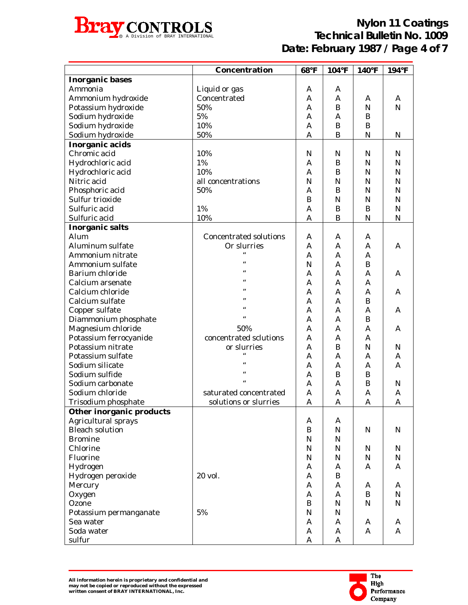

|                          | Concentration                 | 68°F         | $104$ °F         | 140°F        | 194°F        |
|--------------------------|-------------------------------|--------------|------------------|--------------|--------------|
| <b>Inorganic bases</b>   |                               |              |                  |              |              |
| Ammonia                  | Liquid or gas                 | A            | A                |              |              |
| Ammonium hydroxide       | Concentrated                  | A            | A                | A            | A            |
| Potassium hydroxide      | 50%                           | A            | $\bf{B}$         | N            | $\mathbf N$  |
| Sodium hydroxide         | $5\%$                         | A            | A                | B            |              |
| Sodium hydroxide         | 10%                           | A            | $\, {\bf B}$     | B            |              |
| Sodium hydroxide         | 50%                           | A            | $\bf{B}$         | N            | N            |
| Inorganic acids          |                               |              |                  |              |              |
| Chromic acid             | 10%                           | $\mathbf N$  | ${\bf N}$        | N            | $\mathbf N$  |
| Hydrochloric acid        | 1%                            | A            | B                | N            | $\mathbf N$  |
| Hydrochloric acid        | 10%                           | $\mathbf{A}$ | B                | N            | $\mathbf N$  |
| Nitric acid              | all concentrations            | $\mathbf N$  | ${\bf N}$        | N            | $\mathbf N$  |
| Phosphoric acid          | 50%                           | A            | B                | N            | $\mathbf N$  |
| Sulfur trioxide          |                               | B            | $\mathbf N$      | N            | $\mathbf N$  |
| Sulfuric acid            | 1%                            | $\mathbf{A}$ | $\boldsymbol{B}$ | B            | $\mathbf N$  |
| Sulfuric acid            | 10%                           | A            | B                | N            | $\mathbf N$  |
|                          |                               |              |                  |              |              |
| <b>Inorganic salts</b>   |                               |              |                  |              |              |
| Alum                     | <b>Concentrated solutions</b> | A            | A                | A            |              |
| Aluminum sulfate         | Or slurries                   | A            | A                | $\mathbf{A}$ | A            |
| Ammonium nitrate         | $\epsilon$                    | A            | A                | $\mathbf{A}$ |              |
| Ammonium sulfate         | $\epsilon$                    | N            | A                | B            |              |
| Barium chloride          | $\epsilon$                    | $\mathbf{A}$ | A                | $\mathbf{A}$ | A            |
| Calcium arsenate         |                               | $\mathbf{A}$ | A                | A            |              |
| Calcium chloride         |                               | A            | A                | A            | A            |
| Calcium sulfate          |                               | A            | A                | B            |              |
| Copper sulfate           | $\epsilon$                    | A            | A                | $\mathbf{A}$ | A            |
| Diammonium phosphate     |                               | A            | A                | B            |              |
| Magnesium chloride       | 50%                           | A            | A                | $\mathbf{A}$ | A            |
| Potassium ferrocyanide   | concentrated sclutions        | A            | A                | A            |              |
| Potassium nitrate        | or slurries                   | A            | B                | N            | ${\bf N}$    |
| Potassium sulfate        | $\epsilon$                    | A            | A                | A            | $\mathbf{A}$ |
| Sodium silicate          |                               | A            | $\mathbf{A}$     | A            | $\mathbf{A}$ |
| Sodium sulfide           |                               | $\mathbf{A}$ | $\bf{B}$         | B            |              |
| Sodium carbonate         | $\epsilon$                    | A            | A                | B            | N            |
| Sodium chloride          | saturated concentrated        | A            | $\mathbf{A}$     | A            | $\mathsf{A}$ |
| Trisodium phosphate      | solutions or slurries         | $\mathsf{A}$ | $\mathbf{A}$     | A            | A            |
| Other inorganic products |                               |              |                  |              |              |
| Agricultural sprays      |                               | A            | A                |              |              |
| <b>Bleach solution</b>   |                               | $\bf{B}$     | $\mathbf N$      | N            | $\mathbf N$  |
| <b>Bromine</b>           |                               | $\mathbf N$  | $\mathbf N$      |              |              |
| Chlorine                 |                               | $\mathbf N$  | N                | N            | $\mathbf N$  |
| Fluorine                 |                               | $\mathbf N$  | $\mathbf N$      | $\mathbf N$  | ${\bf N}$    |
| Hydrogen                 |                               | A            | A                | A            | $\mathbf{A}$ |
| Hydrogen peroxide        | 20 vol.                       | A            | $\bf{B}$         |              |              |
| Mercury                  |                               | A            | A                | A            | $\mathbf{A}$ |
| Oxygen                   |                               | A            | A                | $\bf{B}$     | ${\bf N}$    |
| Ozone                    |                               | B            | $\mathbf N$      | $\mathbf N$  | ${\bf N}$    |
| Potassium permanganate   | $5\%$                         | $\mathbf N$  | $\mathbf N$      |              |              |
| Sea water                |                               | A            | A                | A            | $\mathbf{A}$ |
| Soda water               |                               | A            | $\mathbf{A}$     | A            | $\mathbf{A}$ |
| sulfur                   |                               | A            | $\mathbf{A}$     |              |              |

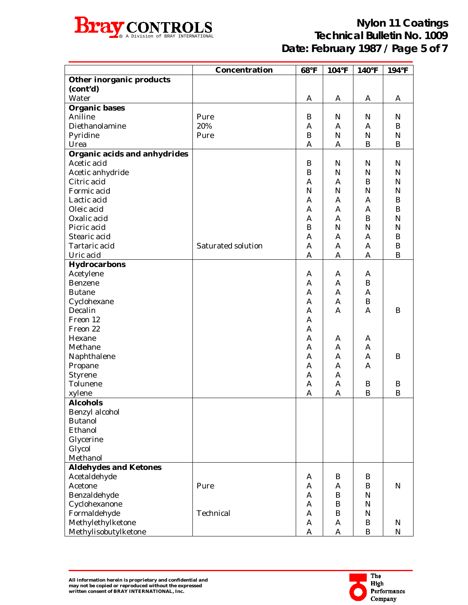

|                                 | Concentration      | 68°F             | $104$ °F     | 140°F            | 194°F          |
|---------------------------------|--------------------|------------------|--------------|------------------|----------------|
| <b>Other inorganic products</b> |                    |                  |              |                  |                |
| (cont'd)                        |                    |                  |              |                  |                |
| Water                           |                    | A                | A            | A                | A              |
| <b>Organic bases</b>            |                    |                  |              |                  |                |
| Aniline                         | Pure               | B                | N            | $\mathbf N$      | N              |
| Diethanolamine                  | 20%                | A                | $\mathbf{A}$ | $\mathbf{A}$     | $\bf{B}$       |
| Pyridine                        | Pure               | $\boldsymbol{B}$ | ${\bf N}$    | $\mathbf N$      | $\mathbf N$    |
| Urea                            |                    | A                | A            | $\bf{B}$         | $\bf{B}$       |
| Organic acids and anhydrides    |                    |                  |              |                  |                |
| Acetic acid                     |                    | B                | $\mathbf N$  | $\mathbf N$      | ${\bf N}$      |
| Acetic anhydride                |                    | $\, {\bf B}$     | ${\bf N}$    | N                | $\mathbf N$    |
| Citric acid                     |                    | $\mathbf{A}$     | A            | $\bf{B}$         | $\mathbf N$    |
| Formic acid                     |                    | ${\bf N}$        | ${\bf N}$    | $\mathbf N$      | $\mathbf N$    |
| Lactic acid                     |                    | A                | A            | A                | $\, {\bf B}$   |
| Oleic acid                      |                    | A                | A            | A                | $\, {\bf B}$   |
| Oxalic acid                     |                    | A                | $\mathbf{A}$ | $\bf{B}$         | $\overline{N}$ |
| Picric acid                     |                    | B                | ${\bf N}$    | $\mathbf N$      | $\mathbf N$    |
| Stearic acid                    |                    | A                | A            | A                | $\, {\bf B}$   |
| Tartaric acid                   | Saturated solution | A                | A            | $\mathbf{A}$     | $\, {\bf B}$   |
| Uric acid                       |                    | A                | $\mathbf{A}$ | $\mathbf{A}$     | $\mathbf B$    |
| Hydrocarbons                    |                    |                  |              |                  |                |
| Acetylene                       |                    | A                | A            | A                |                |
| Benzene                         |                    | A                | A            | $\bf{B}$         |                |
| <b>Butane</b>                   |                    | A                | A            | $\mathbf{A}$     |                |
| Cyclohexane                     |                    | A                | $\mathbf{A}$ | $\bf{B}$         |                |
| Decalin                         |                    | A                | $\mathbf{A}$ | $\mathbf{A}$     | B              |
| Freon 12                        |                    | A                |              |                  |                |
| Freon 22                        |                    | A                |              |                  |                |
| Hexane                          |                    | A                | A            | A                |                |
| Methane                         |                    | A                | A            | A                |                |
| Naphthalene                     |                    | A                | A            | $\mathbf{A}$     | B              |
| Propane                         |                    | A                | $\mathbf{A}$ | $\mathbf{A}$     |                |
| Styrene                         |                    | A                | A            |                  |                |
| Tolunene                        |                    | A                | A            | B                | B              |
| xylene                          |                    | A                | $\mathbf{A}$ | $\boldsymbol{B}$ | B              |
| <b>Alcohols</b>                 |                    |                  |              |                  |                |
| Benzyl alcohol                  |                    |                  |              |                  |                |
| <b>Butanol</b>                  |                    |                  |              |                  |                |
| Ethanol                         |                    |                  |              |                  |                |
| Glycerine                       |                    |                  |              |                  |                |
| Glycol                          |                    |                  |              |                  |                |
| Methanol                        |                    |                  |              |                  |                |
| <b>Aldehydes and Ketones</b>    |                    |                  |              |                  |                |
| Acetaldehyde                    |                    | A                | B            | B                |                |
| Acetone                         | Pure               | A                | A            | B                | $\mathbf N$    |
| Benzaldehyde                    |                    | A                | B            | N                |                |
| Cyclohexanone                   |                    | A                | $\bf{B}$     | N                |                |
| Formaldehyde                    | Technical          | A                | $\bf{B}$     | N                |                |
| Methylethylketone               |                    | A                | A            | B                | N              |
| Methylisobutylketone            |                    | A                | A            | B                | $\mathbf N$    |

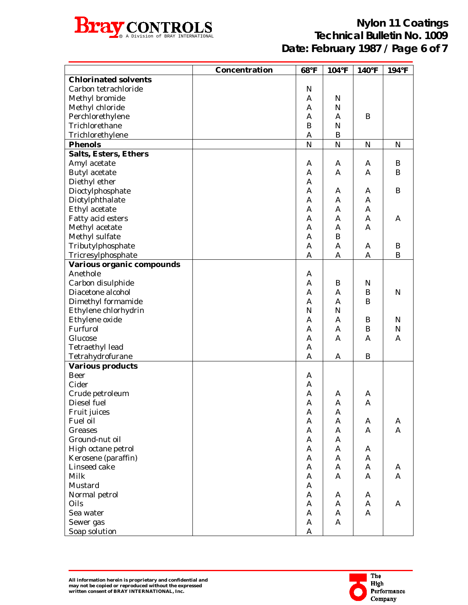

|                              | Concentration | 68°F           | $104$ °F     | $140^{\circ}F$ | $194$ °F     |
|------------------------------|---------------|----------------|--------------|----------------|--------------|
| <b>Chlorinated solvents</b>  |               |                |              |                |              |
| Carbon tetrachloride         |               | N              |              |                |              |
| Methyl bromide               |               | A              | N            |                |              |
| Methyl chloride              |               | A              | N            |                |              |
| Perchlorethylene             |               | A              | A            | B              |              |
| Trichlorethane               |               | B              | N            |                |              |
| Trichlorethylene             |               | A              | B            |                |              |
| <b>Phenols</b>               |               | $\overline{N}$ | $\mathbf N$  | ${\bf N}$      | ${\bf N}$    |
| <b>Salts, Esters, Ethers</b> |               |                |              |                |              |
| Amyl acetate                 |               | A              | A            | A              | B            |
| <b>Butyl</b> acetate         |               | A              | A            | $\mathbf{A}$   | B            |
| Diethyl ether                |               | A              |              |                |              |
| Dioctylphosphate             |               | A              | A            | A              | $\mathbf B$  |
| Diotylphthalate              |               | A              | A            | $\mathbf{A}$   |              |
| Ethyl acetate                |               | A              | A            | $\mathbf{A}$   |              |
| Fatty acid esters            |               | A              | A            | A              | A            |
| Methyl acetate               |               | A              | A            | $\mathbf{A}$   |              |
| Methyl sulfate               |               | A              | B            |                |              |
| Tributylphosphate            |               | A              | A            | A              | B            |
| Tricresylphosphate           |               | $\mathsf{A}$   | $\mathbf{A}$ | A              | $\bf{B}$     |
| Various organic compounds    |               |                |              |                |              |
| Anethole                     |               | A              |              |                |              |
| Carbon disulphide            |               | A              | B            | $\mathbb N$    |              |
| Diacetone alcohol            |               | A              | A            | $\bf{B}$       | ${\bf N}$    |
| Dimethyl formamide           |               | A              | A            | $\bf{B}$       |              |
| Ethylene chlorhydrin         |               | N              | N            |                |              |
| Ethylene oxide               |               | A              | A            | B              | $\mathbf N$  |
| Furfurol                     |               | A              | A            | $\bf{B}$       | ${\bf N}$    |
| Glucose                      |               | A              | $\mathbf{A}$ | $\mathbf{A}$   | $\mathbf{A}$ |
| <b>Tetraethyl lead</b>       |               | A              |              |                |              |
| Tetrahydrofurane             |               | A              | A            | B              |              |
| <b>Various products</b>      |               |                |              |                |              |
| Beer                         |               | A              |              |                |              |
| Cider                        |               | A              |              |                |              |
| Crude petroleum              |               | A              | A            | A              |              |
| Diesel fuel                  |               | A              | $\mathbf{A}$ | $\mathbf{A}$   |              |
| Fruit juices                 |               | A              | A            |                |              |
| Fuel oil                     |               | $\mathbf{A}$   | A            | A              | A            |
| Greases                      |               | $\mathbf{A}$   | A            | A              | A            |
| Ground-nut oil               |               | $\mathbf{A}$   | A            |                |              |
| High octane petrol           |               | $\mathbf{A}$   | A            | A              |              |
| Kerosene (paraffin)          |               | $\mathbf{A}$   | A            | A              |              |
| Linseed cake                 |               | $\mathbf{A}$   | A            | $\mathbf{A}$   | A            |
| Milk                         |               | $\mathbf{A}$   | A            | A              | A            |
| Mustard                      |               | $\mathbf{A}$   |              |                |              |
| Normal petrol                |               | $\mathbf{A}$   | A            | A              |              |
| Oils                         |               | $\mathbf{A}$   | A            | A              | A            |
| Sea water                    |               | $\mathbf{A}$   | A            | $\mathbf{A}$   |              |
| Sewer gas                    |               | $\mathbf{A}$   | A            |                |              |
| Soap solution                |               | A              |              |                |              |